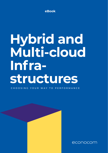**eBook**

# **Hybrid and Multi-cloud Infrastructures**

CHOOSING YOUR WAY TO PERFORMANCE

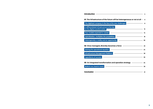|                                                                             | The digitized company in the face of its new challenges <b>with all construct to the set of the set of</b>                                                                                                                       |
|-----------------------------------------------------------------------------|----------------------------------------------------------------------------------------------------------------------------------------------------------------------------------------------------------------------------------|
| A differentiated infrastructure is the key<br>to the digital transformation | <u> 1989 - Johann Barn, mars an t-Amerikaansk kommunister (</u>                                                                                                                                                                  |
|                                                                             | Four models expected to coexist<br>experience and the contract of the contract of the contract of the contract of the contract of the contract of the contract of the contract of the contract of the contract of the contract o |
|                                                                             | Hybridization multiplies the possibilities <b>National Community of the Second Property of Australia</b>                                                                                                                         |
|                                                                             |                                                                                                                                                                                                                                  |
|                                                                             | Heterogeneity: a reality and an opportunity                                                                                                                                                                                      |
|                                                                             | Solving the operational equation and the control of the state of the state of the state of the state of the state of the state of the state of the state of the state of the state of the state of the state of the state of t   |
|                                                                             |                                                                                                                                                                                                                                  |
| <b>Ingredients of success</b>                                               | <u> 1989 - Johann John Stone, market fan it ferstjer fan de fan it ferstjer fan it ferstjer fan it ferstjer fan i</u>                                                                                                            |
|                                                                             | 03 An integrated transformation and operation strategy —————————————————————————                                                                                                                                                 |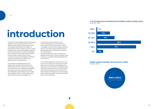$\bullet$ 

# **introduction**

Information technology vendors have always sought to sell a miracle solution which in replacing the previous technology met all the needs and solved all the problems, irrespective of the company, its size or line of business. We must acknowledge today that this has never been the case and probably never will be. Owing to the specific history, choices, stakes and priorities of each company, various technologies necessarily coexist and information systems are destined to be heterogeneous.

Conversely, the digital revolution is a reality that imposes itself uniformly on all organizations. All companies are faced with new economic models, new digitized processes, new uses, new performance and availability requirements, new threats, new regulations, etc., and the information system has to adapt accordingly, not

in order not only to be able to meet these challenges but to continue to do so tomorrow and the day after tomorrow. The digital revolution has brought uses and users in the centre of the system and the B2C standards of excellence are imposed on the company.

At issue for the ISD is how to ensure the digital transformation of the company while relying on a fundamentally heterogeneous environment.

As this heterogeneity is a fact, the aim is to turn it into an asset. The company must be able to choose its path of development to capitalize on all the options available where and when needed, without running the risk of becoming a prisoner of its choices. This path entails chartering the course of hybrid and multicloud infrastructures and is within reach of all companies.

**% of infrastructure provided by the (public and/or private) cloud** (CXP/ PAC, 2017)



**Global market of public cloud services in 2018** (Gartner, 2018)

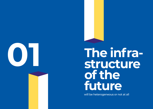

# **01 The infrastructure of the future**

will be heterogeneous or not at all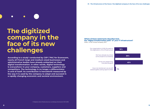# **The digitized company in the face of its new challenges**

**According to a study1 conducted by CXP / PAC for Econocom, nearly all French large and medium-sized businesses and administrative bodies have already embarked on their digital transformation. In other words, digital technology is everywhere: in your company, customers, suppliers and competitors. The technology is no longer a differentiator in and of itself. Its contribution is henceforth measured by the way it is used by the company to adapt and succeed in a rapidly changing economic and societal environment.** 

#### **Which of these statements describes best the "digital transformation path" of your IT infrastructure?** ©PAC‑ a CXP Group Company, 2017

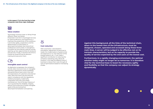**In this respect, IT is in the front line to help companies meet three major challenges:** 



#### **Value creation**

Technology must be a lever or doing things different, faster and better.

Presented in the form of packaged services for optimal efficiency and experience, it improves the productivity of the workforce. It promotes agility, cooperation and the dissemination of information in decompartmentalized, less hierarchical professional communities. It strengthens innovation by stimulating creativity and by opening up new opportunities for products and services. Finally, it shortens the time to market by streamlining the decisionmaking and execution chain.



#### **Intangible asset control**

As digitization progresses, the company's activity relies more and more on intangible elements: applications whose availability and performance have to be in line with the expectations of customers and external users; data that have to be secured and used in compliance with the regulations; intellectual property, trademarks, a reputation that has to be closely monitored, etc. One of the key missions of IT is to guarantee the reliability, integrity, efficacy and conformity of these intangible assets while promoting their decompartmentalization and opening.



#### **Cost reduction**

With automation, rationalization, anticipation, adjustment of resources to needs, the modernization of systems that are expensive to run, the reduction of the energy footprint, etc., IT can make a significant contribution to reducing the company's operating costs. Above all, however, it can help the different lines of business to reduce their costs through all sorts of optimizations based on harnessing of data.

**Against this background, all the links of the technical chain, down to the lowest tiers of the infrastructure, must be designed, chosen, operated and accessed along these three main lines. A server will be judged to be effective not on its intrinsic characteristics, but on its capacity to provide the quality of service expected by the end users at the lowest cost.**

**Furthermore, in a rapidly changing environment, the optimal solution today might no longer be so tomorrow. It is therefore vital for the technical base to boast the necessary agility and flexibility so that the company can adjust its strategy dynamically.**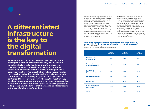# **A differentiated infrastructure is the key to the digital transformation**

 $\bullet$ 

**When ISDs are asked about the objectives they set for the development of their infrastructures, they clearly cite the three key challenges to the digital transformation: value creation, cost reduction and intangible asset control. As shown by the results in the table below, IT managers focus particularly on the latter aspect which falls exclusively under their purview, indicating that their priority challenges are the performance and availability of systems, their operational control and their conformity. Nevertheless, the fact that they consider innovation more important than reducing cost, or that increasing employee motivation gets a relatively high score, is telling of the new challenges that they assign to infrastructure in the age of digital transformation.**

Infrastructure is no longer that rather massive and vague, one-size-fits-all base whose role was limited to providing a foundation and security for the information system. Infrastructure choices henceforth have a decisive impact on business. They provide developers with the flexibility needed to carry out their projects in agile fashion; data scientists with the environments that enable them to explore and use data as they want; the marketing and sales department with the capacity to absorb traffic peaks caused by a promotional operation, etc.

As the foundation stone of digital services, infrastructure must therefore be cut to measure to suit the needs and the context of use: type of user, level of performance and security expected, optimal value for cost, etc. To meet the challenges of the digital transformation, the ISD will not necessarily try standardize its infrastructure with a vengeance, but will rather endeavour to acquire a range of platforms suitable for the diversity of the cases of use, and provided in the form of clearly differentiated services to IT users and lines of business.

**Which of these statements do you consider as a major, minor or no objective for the digital transformation of your infrastructure?** Source: CXP‑PAC 2018 study

Prepare your infrastructure for digital technology

|                                                  | <b>Major</b><br>objective | <b>Minor</b><br>objective | <b>No</b><br>objective |
|--------------------------------------------------|---------------------------|---------------------------|------------------------|
| <b>Performance</b><br>and availability           | 58%                       | 33%                       | 9%                     |
| <b>Preserve the control</b><br>of my own systems | 53%                       | 39%                       | 8%                     |
| <b>Conformity</b><br>(data location, security)   | 51%                       | 43%                       | 6%                     |
| <b>Promote innovation</b>                        | 47%                       | 37%                       | 16%                    |
| <b>Reduce costs</b>                              | 47%                       | 40%                       | 13%                    |
| <b>Increase employee</b><br>motivation           | 43%                       | 41%                       | 16%                    |
| <b>Agility</b>                                   | 37%                       | 49%                       | 14%                    |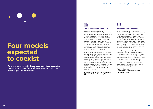# **Four models expected to coexist**

●

**To provide optimized infrastructure services according to needs, ISDs have four major options, each with its advantages and limitations.** 

### **ENDER**

#### **Traditional on-premise model**

Historical systems based on previrtualization technologies still make up a significant part of the French IT population. Whether operated by the companies themselves in their own data centres or outsourced to IT managers, they often contain the core of the company's expertise: its management rules, processes optimized over long periods, clients, etc. Criticized in many respects, these systems are often the result of heavy investments and must therefore be protected.

Many of them still fulfil their task for many transactional needs, even if they often wind up with debilitating limitations in terms storage or performance, for example. Their maintenance may also prove burdensome due to the cost of licences for proprietary software and an increasing scarcity of skills. Finally, they suffer from a deficit of opening and agility which stands in the way of innovation and of capitalizing on the application portfolio.

**(+) stability, tried and tested technologies (–) cost, lack of opening and agility**

### 驑

#### **Private on-premise cloud**

Taking advantage of virtualization technologies in particular, the private cloud model operated at the client has imposed itself as a middle path, enabling the company to enjoy most of the advantages of the cloud (sharing, elasticity, pay per use, etc.) while retaining direct control of one's systems. Sensitive sectors (finance, defence, energy, transport, etc.) resort to this model in particular for reasons to do with security, conformity and auditability.

Nevertheless, by not taking the cloud rationale to the limit, this model cannot capitalize on its full potential. For example, on its own, a company rarely attains the indispensable critical size to make the most of sharing. Similarly, it has neither the resources nor the expertise needed to maintain its cloud infrastructure at the cutting edge of innovation, so it gradually builds up a technological debt.

**(+) control, security (–) incomplete benefits of the cloud, technological debt**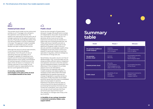

#### **Hosted private cloud**

This private cloud model can be outsourced entirely to an IT manager who will see to the operation and maintenance. The systems are reserved for the exclusive use of a single customer for the sake of maximum security. Physically and logically sealed, they can also be located in France or elsewhere in Europe. This approach makes it possible to obtain a customized, secure, and yet flexible and open-ended infrastructure.

Although the issue of critical mass remains, it now concerns only the systems themselves. From the point of view of operating resources and skills, the IT manager is capable of mobilizing more experts and of monitoring technological advancements more closely, and therefore of maintaining each infrastructure at the state-of-the-art level. It is moreover in his interest, because in this model, he will henceforth assume responsibility for the Service Level Agreements (SLAs).

**(+) security, customization, technologies at the state-of-the-art level (–) incomplete benefits of the cloud**

#### **Public cloud**

Driven by the strength of hyperscalers (Amazon, Google, Microsoft) and a number of independents, the public cloud model is the culmination of the concept of IT on demand, all the more so as it is less expensive and resources are shared on a large scale and invoiced precisely per use. These well-known benefits are ever so topical today thanks in particular to the significant progress made in terms of security and the considerable wealth of the catalogues of services which continue to expand, in particular thanks to tools that specialize in big data, artificial intelligence, the Internet of Things (IoT), etc.

Nevertheless, the public cloud is not free of disadvantages. First, cloud providers do not always provide sufficient advice, integration and operation services so that the solution can be integrated properly, sustainably and effectively in the company's IS, so these aspects have to be attended to. Furthermore, the opposite side of the model's simplicity is its relative rigidity: It is necessary to stick without fail to the recipe established by the operator because any change of ingredient or quantity comes at a heavy price. Finally, the public cloud makes economic sense only if you have a consolidated vision of consumption in real time. Experience has shown that the ease of consuming and the decentralization of purchasing the business-line level are not conducive to discipline. How many times can we see virtual machines that have remained open beyond their issue? The capacity to manage costs finely is the key to profits.

**(+) flexibility of use, savings, innovation (–) technical constraints, hidden costs, support deficit**

## **Summary table**

| <b>Model</b>                                    | Pluses +                                                                         | <b>Minuses -</b>                                               |  |
|-------------------------------------------------|----------------------------------------------------------------------------------|----------------------------------------------------------------|--|
| <b>On-premise traditional</b><br>model (legacy) | - Stability<br>- Tried and tested<br>technologies                                | - Cost<br>- Lack of openness<br>- Lack of agility              |  |
| <b>On-premise</b><br>private cloud              | - Control<br>- Security                                                          | - Incomplete benefits<br>of the cloud<br>- Technological debt  |  |
| <b>Hosted private cloud</b>                     | - Security<br>- Customization<br>- Technologies at the<br>state-of-the-art level | - Incomplete benefits<br>of the cloud                          |  |
| <b>Public cloud</b>                             | - Flexibility of use<br>- Savings<br>- Innovation                                | - Technical constraints<br>- Hidden costs<br>- Support deficit |  |

C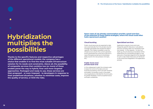# **Hybridization multiplies the possibilities**

**Thanks to the specific features and respective advantages of the different operational models, the company has a choice that enables it to find the most suitable infrastructure solution for its needs and constraints. Above all, the possibility of composite services that combine two (or more) of these models paves the way to hybrid, finer and more targeted approaches. Packaged and ready to use, these services are then proposed – or even imposed – to developers in response to their predefined situations, whether to minimize costs, improve the quality of service, or limit the risks.**

**Some cases of use already commonplace provide a good overview of the potential of these hybrid strategies, where the cloud could often hold a paramount position** 

#### **Cloud bursting**

Public cloud resources are expected to take over automatically from the private cloud to manage load peaks that exceed the latter's capacity. This makes it possible to size the infrastructure only for the current operation and to guarantee the continuity of service in case of exceptional demand nonetheless (sales, launch of a new product, hot topic, etc.)

#### **Public front-end / private back-end**

In this widespread model, the company opts to keep full control of its data and core business processing, which are both sensitive and stable. Conversely, it puts in the public cloud applications intended for the end users, for greater flexibility in terms of performance and open-endedness.

#### **Specialized services**

Applications require more and more frequently specific features or calculations that the company does not necessarily have the interest – or the capacity – to carry out itself, e.g. the simultaneous translation of the statements of a conversational agent or the execution of standard algorithms for big data. In such a case, these resources can be found in the cloud and integrated in the application process.



 $\bullet$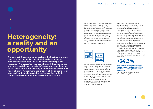# **Heterogeneity: a reality and an opportunity**

**The various infrastructure models, from the traditional internal data centre to the public cloud, have long been presented as successive steps of an inevitable and necessary path to modernity. The perception has now changed. It appears more and more clearly in fact that the infrastructure is destined not for this linear fate, but to diversify in order to meet the multiple needs of users. Furthermore, the urgency of digital technology goes against the major recasting projects which strain the budgets and resources without any certainty as to ROI.**

We must therefore no longer aspire to build a vast, single base or to migrate, on principle, all our systems to the public cloud. In the face of a rapidly and constantly changing technological environment and line of business, this is a time for pragmatism, and the infrastructure of the future will most likely comprise some legacy environments for applications whose portability would be superfluous or too risky, a large part of the private cloud for the core business, and multiple services sourced in various public clouds.



For companies that have embarked on the digital transformation, this heterogeneity and hybrid and multi-cloud strategies are already a reality. The aforementioned CXP/ PAC study shows that 95% of companies have placed at least part of their infrastructure in the cloud. For nearly 4 out of 10 companies, this share is already even more than half. Furthermore, according to a study conducted by the publisher RightScale, 81% of the companies have a multi-could strategy, using nearly 5 different clouds on average.

Although it runs counter to recent standardization and consolidation trends, this heterogeneity can ultimately be considered an opportunity to build an optimal infrastructure, differentiated according to needs, and capable of providing close support for the corporate strategy. The challenge will conversely be to manage to define, assemble, orchestrate and improve the multiple services apace with the lifecycle of the application, without ceasing to provide the appropriate service and security levels. We can therefore imagine that a banking application is developed and tested first in the public cloud for the sake of convenience, and then have its transactional component repatriated in the private cloud for the sake of security, from which customer data which have remained in legacy systems will be invoked.

## **+34 ,3 %**

#### **The annual growth rate of the hybrid cloud market from 2016 to 2022 according to Infoholic Research.**

RightScale 2018, State of the Cloud Report™, February 2018.

 $\bullet$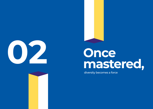



# **mastered,**

diversity becomes a force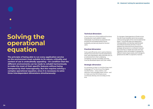# **Solving the operational equation**

 $\bullet$ 

**The principle of being able to run every application service on the environment most suitable to its nature, criticality and context of use is undoubtedly appealing – On condition that the different environments can be made to cohabit harmoniously to make the most of their specific features without being hampered by their heterogeneity. But this requires solving a complex operational equation, since it is necessary to solve three interdependent dimensions simultaneously:**

#### **Technical dimension:**

In the continuum of the traditional functions of production, each platform taken individually must behave as expected and provide the anticipated performance, availability and security levels for the end users.

#### **Practical dimension:**

To be used efficiently and in optimal fashion, infrastructure services must be presented to their users (developers, data scientists, etc.) in an attractive form, their underlying complexity must be concealed, and they must be developed apace with their needs.

#### **Strategic dimension:**

It is necessary to bear in mind the three main challenges of IT at the time of the digital transformation – value creation, cost reduction and intangible asset control – and to make sure that the infrastructure contributes directly and concretely to that end.

To manage a heterogeneous infrastructure, the ISD must therefore rise to the occasion without losing sight of the more fundamental layers. To promote data and application interoperability and develop sophisticated and relevant business services, it has to address the three technical, practical and strategic dimensions in a coherent manner. But to do that, it needs new tools and new indicators which will enable it to gauge the different levels of granularity and manage its global service offer in a dynamic manner.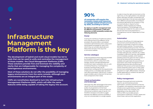## **90 %**

#### **of companies will acquire the necessary means and resources to manage hybrid infrastructures by 2020, according to Gartner.**

**By relying on specific management tools for different environments, a CMP (and tomorrow, an IMP) necessarily contains the following elements:**

#### **Portal**

Dusting the interfaces of traditional systems and unifying those of the different cloud providers, the portal offers a centralized console for administrators and a unique and personalized homepage for users, from which they can activate, deactivate and follow their services in the way of an e-commerce website.

#### **Service catalogue**

It lists and presents all the resources provided by the platform through its different environments, either in unitary form (VM, storage, network, standard development environment, basic workstation, etc.), or, with increasing frequency, in packages for a business-oriented private use (an environment configured for the requirements of data science, a complete sales rep station with office automation, CRM, BL etc.). A search engine enables users to discover the services that correspond to their needs.

#### **Cloud orchestration and brokerage**

Although they offer advantages of the same nature, the services provided by various public cloud operators at times have significant differences, in terms of cost, SLA, contractual conditions, ease of use etc. It is therefore necessary to be able to juggle between the different solutions available, if only not to be beholden to a single supplier.

In order to have the right environment, at the right time, on the right platform, the selected system allocates, provides, orchestrates and ensures reporting on the services subscribed from different cloud providers. According to the policies defined by the company, it may act automatically or require human validation, where necessary by making recommendations. This brokerage must ultimately be invisible for the users to whom the services have to be presented in a homogeneous manner independent of their origin.

#### **Automation**

The key to the efficacy of a heterogeneous environment and its benefits lies in the capacity to automate a maximum of tasks and optimization policies. This automation may be considered along two lines. The first lies in the more or less extensive packaging of services. The capacity to integrate a set of complex tasks (security, network, etc.) makes it possible to offer all-in services, well adapted and immediately available, which leads to sizeable productivity gains for them and/or IT. Once all the resources are connected, available and supervised, the second line of automation will consist of programming dictated operating rules: provisioning of additional VMs as soon as the load exceeds a certain threshold, switch over to a less costly environment outside peak hours, switching off systems at night, differentiation of backup modes depending on whether the data are hot, warm or cold, etc.

#### **Policy management**

Between the purely technical constraints, rules for use and business process optimization, contracts and terms of service of suppliers, and regulatory requirements, the infrastructure is governed by a complex web of policies which may moreover vary depending on the user profile. The CMP (or IMP) must enable persons authorized to implement, monitor, assess and check these rules and their application.

# **Infrastructure Management Platform is the key**

**The development of hybrid and multi-cloud models has led to tools that can be used to unify and centralize the management of those models: the Cloud Management Platforms (CMP). These solutions provide first and foremost the visibility and clarity that are indispensable for managing the complexity of heterogeneous environments.** 

**Most of these solutions do not offer the possibility of managing legacy environments from the same console, although such environments are an integral part of the scope.** 

**CMPs are nonetheless destined to turn into Infrastructure Management Platforms (IMP), which will offer the same features while being capable of taking the legacy into account.**

 $\bullet$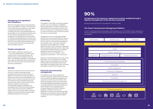#### **Management of regulations and compliance**

With the emergence of laws and regulations such as the GDPR in Europe or the Cloud Act in the United States, companies must make increasingly sure that their processing complies with them. They therefore become accountable to the authorities and their users for the location, appropriate security and auditability of their platforms and their data. In order to avoid stiff penalties, the CMP must be capable of integrating these requirements (and to monitor their rapid development) so as to ensure that all the rules are observed and to be able to prove it.

#### **People management**

Administrator, developer, business user -- very many people have to connect to the infrastructure, its tools and services, with specific powers and privileges for each of them. It is therefore necessary to manage the roles, rights and identities very strictly so that each user has access only to the authorized resources and features.

#### **Security**

Security is a major concern of course, all the more so in these increasingly elusive virtualized and dynamic environments. In addition to the issue of access and rights of persons, security must be considered on two levels: first, in a rather conventional manner, at the level of various individual resources, and secondly, which is newer, at the level of services. At stake is to ensure their confidentiality integrity, availability and traceability (CIAT) from end to end whereas they consist of technical links of different origins which are moreover likely to change. Tools such as Cloud Security Access Broker (CSAB) provide part of the answer.

#### **Monitoring**

The platform must offer a monitoring system so that it can be managed at its different levels of granularity: It is also necessary to be able alerted if a VM overloads or if, thanks to the IoT, a component is overheated, as well as to monitor the rate of use of a service or know the SLA of a cloud provider.

Management must increasingly consider performance from the user's point of view, as experienced on the other side of the screen. and not only from the technical perspective. For example, a user may have a very bad experience with an application simply because of a poor Wi-Fi connection, although all the operating indicators of the underlining components had been flawless. As regards application services in particular, it is necessary to try to have visibility – and a capacity for intervention – from end to end.

Resource-oriented (response time, rate of use, population, etc.) or business line-oriented (types of use, user experience, etc.), the KPIs will also feed the automated services and potentially, the analysis tools, which will make it possible to optimize the infrastructure.

#### **Financial and contractual management**

The platform must make it possible to monitor closely the consumption of services, the invoicing of the different suppliers and compliance with their commitments. This makes it possible to optimize consumption financially (RightScale assesses the amount of useless expenses in the cloud at 35%) but also to relate it to the business service rendered. Ideally, the CMP/IMP makes it possible to compare the cost of an application / service to the business benefits obtained, and therefore to attune trade-offs in a Business Service Management (BSM) rationale.

## **90 %**

استظ

#### **of expenses in the cloud are wasted and could be avoided through a rigorous management of the services consumed**

RightScale 2018, State of the Cloud Report™, February 2018.

#### **The Cloud / Infrastructure Management Platform**

For all IT users (business lines, developers, administrators, etc.) the CMP/IMP is both a gateway to the services offered and the machine that ensures that these services are compliant, controlled and efficient.

| Administrator |                                                    | Developers<br><b>Business users</b> |  |         |  |  |
|---------------|----------------------------------------------------|-------------------------------------|--|---------|--|--|
|               | CMP/IMP                                            |                                     |  |         |  |  |
|               | Portal                                             |                                     |  |         |  |  |
|               | People management                                  |                                     |  |         |  |  |
| Supervision   | Packaged business services<br>Development services |                                     |  |         |  |  |
|               |                                                    |                                     |  |         |  |  |
|               | Cloud orchestration & brokerage                    |                                     |  |         |  |  |
|               | Automation                                         |                                     |  |         |  |  |
|               | Policy management                                  |                                     |  |         |  |  |
|               | Compliance management                              |                                     |  |         |  |  |
|               | Security                                           |                                     |  |         |  |  |
|               | Monitoring                                         |                                     |  |         |  |  |
|               | Financial and contractual management               |                                     |  |         |  |  |
|               |                                                    |                                     |  |         |  |  |
|               |                                                    |                                     |  |         |  |  |
|               | Infrastructure resources                           |                                     |  |         |  |  |
|               |                                                    | 面面面                                 |  | 面<br>口回 |  |  |

انشضا

1919 i91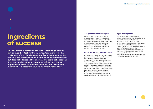## **Ingredients of success**

 $\bullet$ 

**An indispensable control tower, the CMP (or IMP) does not suffice in and of itself for the infrastructure to meet all the challenges of the digital company. It is the instrument of the effective and controlled implementation of new architectures, but does not address all the business and technical questions. A certain number of technical, organizational and human ingredients have to be added to that end so as to make the most of what a heterogeneous environment has to offer:**

#### **An updated urbanization plan**

Upstream from the policies that will be implemented in the CMP, the ISD must update its urbanization plan to include the public cloud and the conditions of use of new infrastructure services: data strategy and differentiation of use according to their sensitivity, strategy and management of the APIs and Docker containers, …

#### **Industrialized migration processes**

Although the infrastructure accepts a legacy part, the aim is nonetheless still to provide all the benefits of the cloud to eligible applications. There will be many migrations therefore and it is necessary to implement appropriate processes and tools, if necessary through a specialized partner, to accelerate and secure each project. Particular attention will be paid to automate a maximum of tasks by capitalizing as the projects progress. Migrants from cloud to cloud (private to public, public to private, etc.) must not be neglected either, as they are far from trivial.

#### **Agile development**

Placed at the disposal of developers, infrastructure services must enhance and not impede their work. Customization, ergonomics, recommendations and, in certain cases, the obligations of the catalogue of services must help them implement rapidly the solution that meets their needs in optimal fashion. To that end, the infrastructure development strategy must engage in dialogue with the development strategy (agile, DevOps and continuous integration, up to continuous deployment) to support and equip it.

**30 31**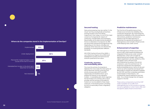#### **Where do the companies stand in the implementation of DevOps?**



#### **Secured hosting**

Data and processing may very well be "in the cloud," but they are physically somewhere and that location is far from being insignificant. Even today, it is one of the major concerns of companies for reasons of conformity, confidentiality and sovereignty. Nevertheless, all the data centres situated in France or elsewhere in Europe do not offer the same level of physical and logical security. Depending on the nature, criticality and sensitivity of the resources, we will have the possibility of choosing between different standards

(ISO 27001, SecNumCloud of the ANSSI…), up to Restrictive Regime Zone (RRZ) level established to protect the technical and scientific potential of the nation.

#### **Continuity, recovery and reversibility plans**

The more the activity of companies is digitized, the more costly the interruption of service becomes. Activity continuity and activity recovery plans (ACP and ARP respectively) are therefore drawn up to prepare the reaction to any operation incident. A reversibility plan which organizes the termination of a contract with a cloud provider and the recovery of the data he hosted can now be added to these classic measures. In the banking sector, providing for such an eventuality is even a regulatory obligation.

#### **Predictive maintenance**

The first link of the performance of any infrastructure remains the reliability of its constituent equipment. By maximizing the operational availability while rationalizing the interventions, predictive maintenance appears to be the ideal approach to guarantee the operational excellence of heterogeneous and complex infrastructures while keeping costs under control.

#### **Enhancement of expertise**

The heterogeneous infrastructure of the future is also a decompartmentalized and integrated infrastructure under constant development, which will no longer be segmented by technologies. New complex objects (application services, platforms, APIs) will appear which will have to be administered by focusing on the service rendered to users first and foremost. For production equipment this represents profound developments in terms of role and culture as well as expertise and equipment. Being able to analyse the indicators supplied by the CMP, and then to develop automation scripts based on these lessons, will consequently require experience and new skills. It is a critical change that will require support in the ISD.

These various components round the CMP make it possible not to suffer from heterogeneity but on the contrary to harness it so as to capitalize on what it has to offer and the specific assets of each environment.

Source: Forrester Research, January 2017.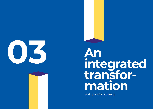

# **integrated transformation**

and operation strategy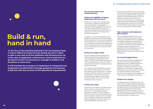**Build & run, hand in hand**

 **In the face of the pressing demands from the business lines, IT cannot afford to freeze services during the time it takes to take a new look at all the platforms and infrastructure. As in the case of application maintenance, where build and run go hand in hand, it is necessary to manage to produce and transform at same time.** 

**It will therefore be necessary to implement an integrated and progressive transformation strategy guided by the business needs but with due account of the operational requirements.**

**Here are the key points of this transformation plan:**

#### **Assess the eligibility of legacy applications for the cloud**

To define the scope of the transformation, it is necessary to determine the extent to which it is possible – and desirable – to migrate the existing applications to a public or private cloud environment. Will it be necessary to redesign the architecture? Can we be content with containerizing them ("lift & shift" approach)?

In addition to the technical feasibility of the operation, a business plan has to be devised for the medium term: what are the prospects of the application in terms of the number of users, volumes of transactions and data? How will the operating costs in the cloud develop in such a case? How and at what price will it be maintained?

#### **Define the target model**

Once the assets have been assessed, the preferential platforms are defined for the various applications depending on their nature, criticality, data handled, requirements in terms of regulations (such as the GDPR) and certification (SAP, for example), skills and scope of the project.

This model must be established in conjunction with the business lines, so as to meet their needs but also so that they can understand the constraints involved. For example, an application in the public cloud will of course be open-ended but within stricter limits than before. The main lines of the urbanization plan are set out.

#### **Choose your pace**

Advancing in an ambitious and determined manner does not mean rushing, no more than the term heterogeneous means dispersed or chaotic. The most important thing is to retain control of the systems so as not to expose the company to ill-considered risks. It is therefore better to proceed a little slower perhaps but to stay the course and meet the deadlines of the road map.

This road map will take account in particular of the priorities of the business lines, the skills and resources available, and the speed and visibility of the expected benefits, which are decisive to support the transformation momentum. Proceeding in successive steps makes it possible to spread out the budgets and mobilize fewer resources; conversely, it will ultimately be more costly in the end, with the risk of creating silos and blind spots.

#### **Test, compare and implement pilot projects**

The incomparable flexibility of the cloud makes it an ideal tool for experimenting. Production can benefit from it by adopting more agile and pragmatic approaches in turn. Before choosing, then generalizing infrastructure solutions, they should be tried and tested under real conditions, and suppliers should be challenged, etc. so as to gain experience and maturity and to determine which services are best suited for the projects.

#### **Do not get bogged down**

The usual rules of prudence regarding the risk of commercial and technological dependence must be applied with cloud providers, all the more so as freedom, flexibility and agility are among the main objectives. It is necessary to implement a reversibility plan so as to be able to withdraw in a rapid and orderly manner and be attentive to the supplier's technological road map to retain compatibility and opening.

#### **Prepare the change**

The development of the infrastructure will entail major changes at different levels which will require guidance and support. First of all, developers will have to familiarize themselves with the packaged services that will be proposed and, at times, imposed. They will also have to comply with good practices of use, for example deactivate the environments as long as they are no longer in use.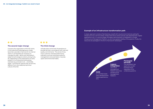#### **Example of an infrastructure transformation path**

A classic approach consists of familiarizing oneself with cloud environments by opting for infrastructure as a service (IAAS), initially reserved to certain precise uses (development, digital applications, etc.). In a second stage, the legacy administration is integrated in a single Infrastructure Management Platform, so as to have global visibility of the systems. Finally, the resources are packaged in the form of services for developers.



 $\bullet$   $\bullet$ 

Concerns the organization of the ISD which, in this hybrid and heterogeneous model, becomes a provider of services for its internal clients. It will therefore be necessary to manage this offer: define and rationalize it, adapt its technological content, pricing, SLAs, etc. depending on the expectations of users, present it in an attractive and businessoriented way, promote it, etc. .. and briefly, adopt "commercial" posture that can be very different from the traditional technical culture of the ISD.

#### ...

#### **The third change**

will take place at the level of operations to provide services in accordance with cost and quality commitments. The arrival of new, more customer-oriented performance indicators, and new tools particularly for management and automation, may also upset well entrenched habits.

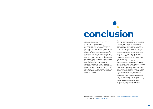# **conclusion**

As the cloud reaches maturity under its different forms, companies have an unprecedent choice for their IT infrastructure. This extensive choice gives the ISD means and resources to play a leadership role in the digital transformation by enabling it to respond simultaneously to these three major challenges: create value, reduce costs and inspire confidence in the intangible assets of the company. The need to protect investments and capitalize on the expertise of the organization does not doom the legacy fully, just as standardization requirements and hidden costs do not necessarily plead in favour of the public cloud. Each model has its virtues and it is up to the company to devise and deploy its own hybrid, multi-cloud strategy, according to its specific features, if necessary with the right measure of legacy.

Because it is customized and open-ended, this heterogeneity is an asset, on condition however of not being synonymous with dispersal and incoherence. Whereas the deployment of collaborative tools such as Office 365 or G suite on a large scale attests to a massive and irreversible shift to the cloud, these projects, by their scope, also show the need to bring all dimensions under control. For the ISD, the transformation path will be that of control and optimization. Around the indispensable Cloud/

Infrastructure Management Platform, the control tower of the administration, it will be necessary to adjust gradually its organization, skills, equipment, practices and stance with regard to customers to be able to devise, manage and operate these new integrated and business-oriented infrastructure services. For users of these elementary bricks, technology gives place, complexity disappears, security and performance are self-evident. But for the IT teams, arrive at such appearance of simplicity is undoubtedly a vaunting challenge of their expertise.

Any question? Please do not hesitate to contact us at marketing.be@econocom.com or visit or website www.econocom.be